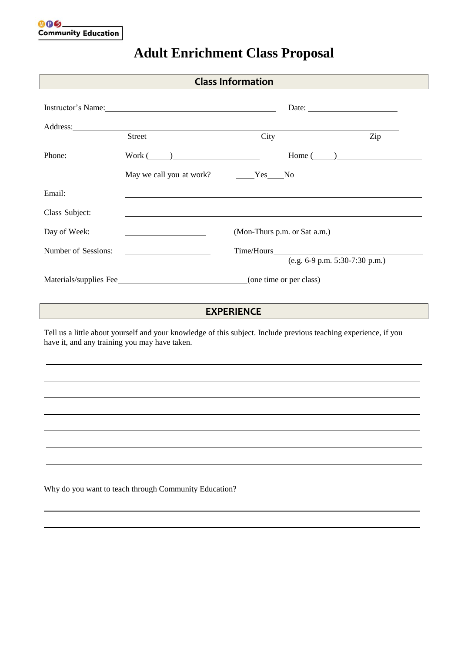## Instructor's Name: Date: Date: Date: Date: Date: Date: Date: Date: Date: Date: Date: Date: Date: Date: Date: Date: Date: Date: Date: Date: Date: Date: Date: Date: Date: Date: Date: Date: Date: Date: Date: Date: Date: Date: Address: Street City City Phone: Work ( ) Home ( ) May we call you at work? Yes No Email: Class Subject: Day of Week: (Mon-Thurs p.m. or Sat a.m.) Number of Sessions: Time/Hours (e.g. 6-9 p.m. 5:30-7:30 p.m.) Materials/supplies Fee (one time or per class) Tell us a little about yourself and your knowledge of this subject. Include previous teaching experience, if you have it, and any training you may have taken. **Class Information EXPERIENCE**

## **Adult Enrichment Class Proposal**

Why do you want to teach through Community Education?